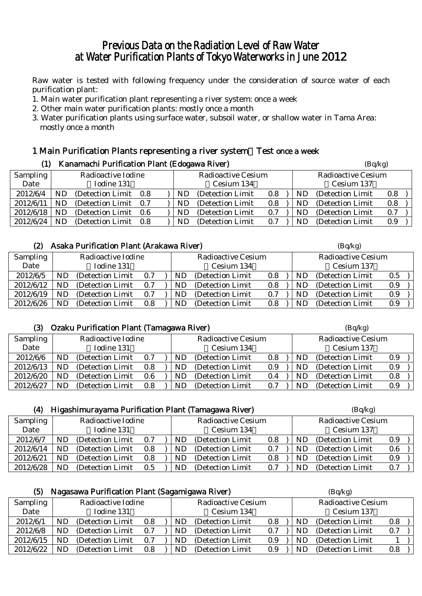# Previous Data on the Radiation Level of Raw Water at Water Purification Plants of Tokyo Waterworks in June 2012

Raw water is tested with following frequency under the consideration of source water of each purification plant:

- 1. Main water purification plant representing a river system: once a week
- 2. Other main water purification plants: mostly once a month
- 3. Water purification plants using surface water, subsoil water, or shallow water in Tama Area: mostly once a month

### 1 Main Purification Plants representing a river system:Test once a week (1) Kanamachi Purification Plant (Edogawa River)  $(Bq/kg)$

|           | ,  | Tranamachi I annicación i iant (Laoguwa Iviver) |     |  |            |                           |     | $(\mathbf{D}\mathbf{q},\mathbf{n}\mathbf{s})$ |                           |     |  |
|-----------|----|-------------------------------------------------|-----|--|------------|---------------------------|-----|-----------------------------------------------|---------------------------|-----|--|
| Sampling  |    | Radioactive Iodine                              |     |  |            | <b>Radioactive Cesium</b> |     |                                               | <b>Radioactive Cesium</b> |     |  |
| Date      |    | Iodine 131                                      |     |  | Cesium 134 |                           |     |                                               | Cesium 137                |     |  |
| 2012/6/4  | ND | (Detection Limit)                               | 0.8 |  | ND         | (Detection Limit)         | 0.8 | ND.                                           | (Detection Limit)         | 0.8 |  |
| 2012/6/11 | ND | (Detection Limit)                               | 0.7 |  | ND         | (Detection Limit)         | 0.8 | ND                                            | (Detection Limit)         | 0.8 |  |
| 2012/6/18 | ND | (Detection Limit)                               | 0.6 |  | ND         | (Detection Limit)         | 0.7 | ND                                            | (Detection Limit)         | 0.7 |  |
| 2012/6/24 | ND | (Detection Limit)                               | 0.8 |  | ND         | (Detection Limit)         | 0.7 | ND.                                           | (Detection Limit)         | 0.9 |  |

#### (2) Asaka Purification Plant (Arakawa River)  $(Bq/kg)$

| Sampling  | Radioactive Iodine |                   |     | <b>Radioactive Cesium</b> |    |                   | <b>Radioactive Cesium</b> |    |                   |         |
|-----------|--------------------|-------------------|-----|---------------------------|----|-------------------|---------------------------|----|-------------------|---------|
| Date      |                    | Iodine 131        |     |                           |    | Cesium 134        |                           |    | Cesium 137        |         |
| 2012/6/5  | ND                 | (Detection Limit) | 0.7 |                           | ND | (Detection Limit) | 0.8                       | ND | (Detection Limit) | $0.5\,$ |
| 2012/6/12 | ND                 | (Detection Limit) | 0.7 |                           | ND | (Detection Limit) | 0.8                       | ND | (Detection Limit) | 0.9     |
| 2012/6/19 | ND                 | (Detection Limit) | 0.7 |                           | ND | (Detection Limit) | 0.7                       | ND | (Detection Limit) | 0.9     |
| 2012/6/26 | ND                 | (Detection Limit) | 0.8 |                           | ND | (Detection Limit) | 0.8                       | ND | (Detection Limit) | 0.9     |

#### (3) Ozaku Purification Plant (Tamagawa River) (Bq/kg)

| .               |                    |                   |         |                           |    |                   |                           |     |                   |     |  |  |
|-----------------|--------------------|-------------------|---------|---------------------------|----|-------------------|---------------------------|-----|-------------------|-----|--|--|
| <b>Sampling</b> | Radioactive Iodine |                   |         | <b>Radioactive Cesium</b> |    |                   | <b>Radioactive Cesium</b> |     |                   |     |  |  |
| Date            |                    | Iodine 131        |         |                           |    | Cesium 134        |                           |     | Cesium 137        |     |  |  |
| 2012/6/6        | ND                 | (Detection Limit) | 0.7     |                           | ND | (Detection Limit) | 0.8                       | ND  | (Detection Limit) | 0.9 |  |  |
| 2012/6/13       | ND                 | (Detection Limit) | 0.8     |                           | ND | (Detection Limit) | 0.9                       | ND  | (Detection Limit) | 0.9 |  |  |
| 2012/6/20       | ND                 | (Detection Limit) | $0.6\,$ |                           | ND | (Detection Limit) | 0.4                       | ND. | (Detection Limit) | 0.8 |  |  |
| 2012/6/27       | ND                 | (Detection Limit) | 0.8     |                           | ND | (Detection Limit) | 0.7                       | ND  | (Detection Limit) | 0.9 |  |  |

| (4)             |                    | Higashimurayama Purification Plant (Tamagawa River) | (Bq/kg)       |                           |            |                   |                           |    |                   |     |  |
|-----------------|--------------------|-----------------------------------------------------|---------------|---------------------------|------------|-------------------|---------------------------|----|-------------------|-----|--|
| <b>Sampling</b> | Radioactive Iodine |                                                     |               | <b>Radioactive Cesium</b> |            |                   | <b>Radioactive Cesium</b> |    |                   |     |  |
| Date            |                    | Iodine 131                                          |               |                           | Cesium 134 |                   |                           |    | Cesium 137        |     |  |
| 2012/6/7        | ND                 | (Detection Limit)                                   | 0.7           |                           | ND         | (Detection Limit) | 0.8                       | ND | (Detection Limit) | 0.9 |  |
| 2012/6/14       | ND                 | (Detection Limit)                                   | 0.8           |                           | ND         | (Detection Limit) | 0.7                       | ND | (Detection Limit) | 0.6 |  |
| 2012/6/21       | ND                 | (Detection Limit)                                   | 0.8           |                           | ND.        | (Detection Limit) | 0.8                       | ND | (Detection Limit) | 0.9 |  |
| 2012/6/28       | ND                 | (Detection Limit)                                   | $0.5^{\circ}$ |                           | ND         | (Detection Limit) | 0.7                       | ND | (Detection Limit) | 0.7 |  |

| (5)       |                    | Nagasawa Purification Plant (Sagamigawa River) | (Bq/kg) |                           |    |                   |                           |            |                   |     |
|-----------|--------------------|------------------------------------------------|---------|---------------------------|----|-------------------|---------------------------|------------|-------------------|-----|
| Sampling  | Radioactive Iodine |                                                |         | <b>Radioactive Cesium</b> |    |                   | <b>Radioactive Cesium</b> |            |                   |     |
| Date      |                    | Iodine 131                                     |         |                           |    | Cesium 134        |                           | Cesium 137 |                   |     |
| 2012/6/1  | ND                 | (Detection Limit)                              | 0.8     |                           | ND | (Detection Limit) | 0.8                       | ND         | (Detection Limit) | 0.8 |
| 2012/6/8  | ND                 | (Detection Limit)                              | 0.7     |                           | ND | (Detection Limit  | 0.7                       | ND         | (Detection Limit) |     |
| 2012/6/15 | ND                 | (Detection Limit)                              | 0.7     |                           | ND | (Detection Limit  | 0.9                       | ND         | (Detection Limit) |     |
| 2012/6/22 | ND                 | (Detection Limit)                              | 0.8     |                           | ND | (Detection Limit) | 0.9                       | ND         | (Detection Limit) | 0.8 |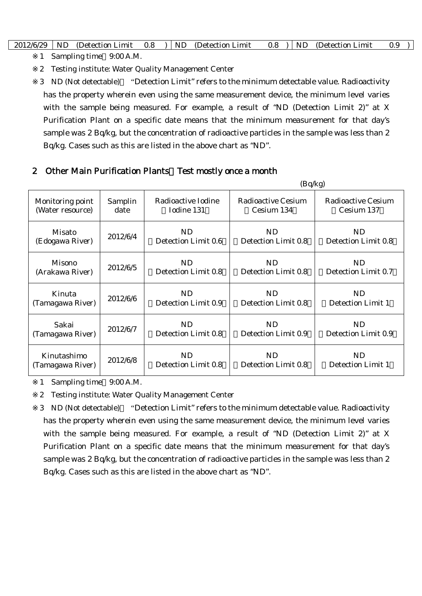| 2012/6/29 | <b>ND</b> | (Detection Limit) | 0.8 |  | <b>ND</b> | (Detection Limit) | $0.8\,$ | -NL | (Detection Limit) | 0.1 |
|-----------|-----------|-------------------|-----|--|-----------|-------------------|---------|-----|-------------------|-----|
|-----------|-----------|-------------------|-----|--|-----------|-------------------|---------|-----|-------------------|-----|

1 Sampling time 9:00 A.M.

2 Testing institute: Water Quality Management Center

3 ND (Not detectable) "Detection Limit" refers to the minimum detectable value. Radioactivity has the property wherein even using the same measurement device, the minimum level varies with the sample being measured. For example, a result of "ND (Detection Limit 2)" at X Purification Plant on a specific date means that the minimum measurement for that day's sample was 2 Bq/kg, but the concentration of radioactive particles in the sample was less than 2 Bq/kg. Cases such as this are listed in the above chart as "ND".

### 2 Other Main Purification Plants Test mostly once a month

|                  |          |                     | (Bq/kg)             |                     |
|------------------|----------|---------------------|---------------------|---------------------|
| Monitoring point | Samplin  | Radioactive Iodine  | Radioactive Cesium  | Radioactive Cesium  |
| (Water resource) | date     | Iodine 131          | Cesium 134          | Cesium 137          |
| Misato           | 2012/6/4 | N <sub>D</sub>      | <b>ND</b>           | ND                  |
| (Edogawa River)  |          | Detection Limit 0.6 | Detection Limit 0.8 | Detection Limit 0.8 |
| Misono           | 2012/6/5 | N <sub>D</sub>      | <b>ND</b>           | ND                  |
| (Arakawa River)  |          | Detection Limit 0.8 | Detection Limit 0.8 | Detection Limit 0.7 |
| Kinuta           | 2012/6/6 | ND                  | <b>ND</b>           | <b>ND</b>           |
| (Tamagawa River) |          | Detection Limit 0.9 | Detection Limit 0.8 | Detection Limit 1   |
| Sakai            | 2012/6/7 | ND.                 | ND.                 | ND.                 |
| (Tamagawa River) |          | Detection Limit 0.8 | Detection Limit 0.9 | Detection Limit 0.9 |
| Kinutashimo      | 2012/6/8 | ND.                 | ND.                 | ND.                 |
| (Tamagawa River) |          | Detection Limit 0.8 | Detection Limit 0.8 | Detection Limit 1   |

1 Sampling time 9:00 A.M.

2 Testing institute: Water Quality Management Center

3 ND (Not detectable) "Detection Limit" refers to the minimum detectable value. Radioactivity has the property wherein even using the same measurement device, the minimum level varies with the sample being measured. For example, a result of "ND (Detection Limit 2)" at X Purification Plant on a specific date means that the minimum measurement for that day's sample was 2 Bq/kg, but the concentration of radioactive particles in the sample was less than 2 Bq/kg. Cases such as this are listed in the above chart as "ND".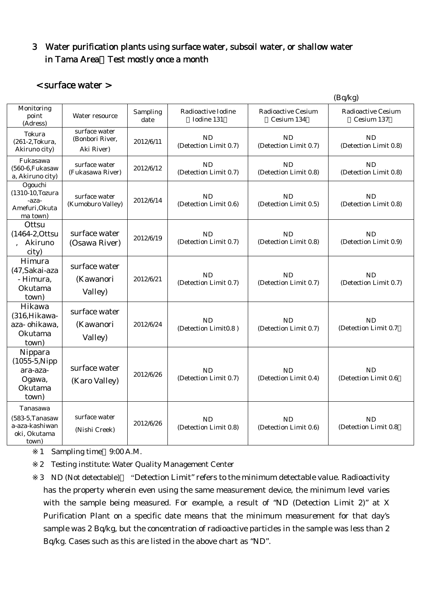# 3 Water purification plants using surface water, subsoil water, or shallow water in Tama Area Test mostly once a month

### < surface water >

|                                                                            |                                                |                  |                                    |                                         | (Bq/kg)                                 |
|----------------------------------------------------------------------------|------------------------------------------------|------------------|------------------------------------|-----------------------------------------|-----------------------------------------|
| Monitoring<br>point<br>(Adress)                                            | Water resource                                 | Sampling<br>date | Radioactive Iodine<br>Iodine 131   | <b>Radioactive Cesium</b><br>Cesium 134 | <b>Radioactive Cesium</b><br>Cesium 137 |
| Tokura<br>(261-2, Tokura,<br>Akiruno city)                                 | surface water<br>(Bonbori River,<br>Aki River) | 2012/6/11        | <b>ND</b><br>(Detection Limit 0.7) | <b>ND</b><br>(Detection Limit 0.7)      | <b>ND</b><br>(Detection Limit 0.8)      |
| Fukasawa<br>(560-6, Fukasaw<br>a, Akiruno city)                            | surface water<br>(Fukasawa River)              | 2012/6/12        | <b>ND</b><br>(Detection Limit 0.7) | <b>ND</b><br>(Detection Limit 0.8)      | <b>ND</b><br>(Detection Limit 0.8)      |
| Ogouchi<br>(1310-10, Tozura<br>-aza-<br>Amefuri, Okuta<br>ma town)         | surface water<br>(Kumoburo Valley)             | 2012/6/14        | <b>ND</b><br>(Detection Limit 0.6) | <b>ND</b><br>(Detection Limit 0.5)      | <b>ND</b><br>(Detection Limit 0.8)      |
| Ottsu<br>(1464-2, Ottsu<br>Akiruno<br>city)                                | surface water<br>(Osawa River)                 | 2012/6/19        | <b>ND</b><br>(Detection Limit 0.7) | <b>ND</b><br>(Detection Limit 0.8)      | <b>ND</b><br>(Detection Limit 0.9)      |
| Himura<br>(47, Sakai-aza<br>- Himura,<br>Okutama<br>town)                  | surface water<br>(Kawanori<br>Valley)          | 2012/6/21        | <b>ND</b><br>(Detection Limit 0.7) | <b>ND</b><br>(Detection Limit 0.7)      | <b>ND</b><br>(Detection Limit 0.7)      |
| Hikawa<br>(316, Hikawa-<br>aza-ohikawa,<br>Okutama<br>town)                | surface water<br>(Kawanori<br>Valley)          | 2012/6/24        | <b>ND</b><br>(Detection Limit0.8)  | <b>ND</b><br>(Detection Limit 0.7)      | <b>ND</b><br>(Detection Limit 0.7)      |
| Nippara<br>$(1055-5)$ . Nipp<br>ara-aza-<br>Ogawa,<br>Okutama<br>town)     | surface water<br>(Karo Valley)                 | 2012/6/26        | <b>ND</b><br>(Detection Limit 0.7) | <b>ND</b><br>(Detection Limit 0.4)      | <b>ND</b><br>(Detection Limit 0.6       |
| Tanasawa<br>$(583-5)$ . Tanasaw<br>a-aza-kashiwan<br>oki, Okutama<br>town) | surface water<br>(Nishi Creek)                 | 2012/6/26        | <b>ND</b><br>(Detection Limit 0.8) | <b>ND</b><br>(Detection Limit 0.6)      | <b>ND</b><br>(Detection Limit 0.8)      |

1 Sampling time 9:00 A.M.

2 Testing institute: Water Quality Management Center

3 ND (Not detectable) "Detection Limit" refers to the minimum detectable value. Radioactivity has the property wherein even using the same measurement device, the minimum level varies with the sample being measured. For example, a result of "ND (Detection Limit 2)" at X Purification Plant on a specific date means that the minimum measurement for that day's sample was 2 Bq/kg, but the concentration of radioactive particles in the sample was less than 2 Bq/kg. Cases such as this are listed in the above chart as "ND".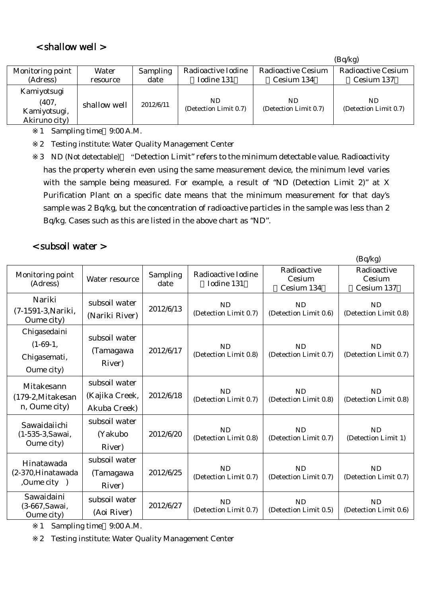## < shallow well >

|                  |              |           |                       |                           | (Bq/kg)               |
|------------------|--------------|-----------|-----------------------|---------------------------|-----------------------|
| Monitoring point | Water        | Sampling  | Radioactive Iodine    | <b>Radioactive Cesium</b> | Radioactive Cesium    |
| (Adress)         | resource     | date      | Iodine 131            | Cesium 134                | Cesium 137            |
| Kamiyotsugi      |              |           |                       |                           |                       |
| (407,            | shallow well | 2012/6/11 | ND                    | ND                        | ND.                   |
| Kamiyotsugi,     |              |           | (Detection Limit 0.7) | (Detection Limit 0.7)     | (Detection Limit 0.7) |
| Akiruno city)    |              |           |                       |                           |                       |

1 Sampling time 9:00 A.M.

2 Testing institute: Water Quality Management Center

3 ND (Not detectable) "Detection Limit" refers to the minimum detectable value. Radioactivity has the property wherein even using the same measurement device, the minimum level varies with the sample being measured. For example, a result of "ND (Detection Limit 2)" at X Purification Plant on a specific date means that the minimum measurement for that day's sample was 2 Bq/kg, but the concentration of radioactive particles in the sample was less than 2 Bq/kg. Cases such as this are listed in the above chart as "ND".

 $(D<sub>a</sub>/k<sub>a</sub>)$ 

### < subsoil water >

|                                                          |                                                 |                  |                                    |                                     | $(\mathbf{D}\mathbf{y} \mathbf{n}\mathbf{y})$ |
|----------------------------------------------------------|-------------------------------------------------|------------------|------------------------------------|-------------------------------------|-----------------------------------------------|
| Monitoring point<br>(Adress)                             | Water resource                                  | Sampling<br>date | Radioactive Iodine<br>Iodine 131   | Radioactive<br>Cesium<br>Cesium 134 | Radioactive<br>Cesium<br>Cesium 137           |
| Nariki<br>(7-1591-3, Nariki,<br>Oume city)               | subsoil water<br>(Nariki River)                 | 2012/6/13        | <b>ND</b><br>(Detection Limit 0.7) | <b>ND</b><br>(Detection Limit 0.6)  | <b>ND</b><br>(Detection Limit 0.8)            |
| Chigasedaini<br>$(1-69-1,$<br>Chigasemati,<br>Oume city) | subsoil water<br>(Tamagawa<br>River)            | 2012/6/17        | <b>ND</b><br>(Detection Limit 0.8) | <b>ND</b><br>(Detection Limit 0.7)  | <b>ND</b><br>(Detection Limit 0.7)            |
| Mitakesann<br>(179-2, Mitakesan<br>n, Oume city)         | subsoil water<br>(Kajika Creek,<br>Akuba Creek) | 2012/6/18        | <b>ND</b><br>(Detection Limit 0.7) | <b>ND</b><br>(Detection Limit 0.8)  | <b>ND</b><br>(Detection Limit 0.8)            |
| Sawaidaiichi<br>(1-535-3, Sawai,<br>Oume city)           | subsoil water<br>(Yakubo<br>River)              | 2012/6/20        | <b>ND</b><br>(Detection Limit 0.8) | <b>ND</b><br>(Detection Limit 0.7)  | <b>ND</b><br>(Detection Limit 1)              |
| Hinatawada<br>(2-370, Hinatawada<br>,Oume city )         | subsoil water<br>(Tamagawa<br>River)            | 2012/6/25        | <b>ND</b><br>(Detection Limit 0.7) | <b>ND</b><br>(Detection Limit 0.7)  | <b>ND</b><br>(Detection Limit 0.7)            |
| Sawaidaini<br>(3-667, Sawai,<br>Oume city)               | subsoil water<br>(Aoi River)                    | 2012/6/27        | <b>ND</b><br>(Detection Limit 0.7) | <b>ND</b><br>(Detection Limit 0.5)  | <b>ND</b><br>(Detection Limit 0.6)            |

1 Sampling time 9:00 A.M.

2 Testing institute: Water Quality Management Center